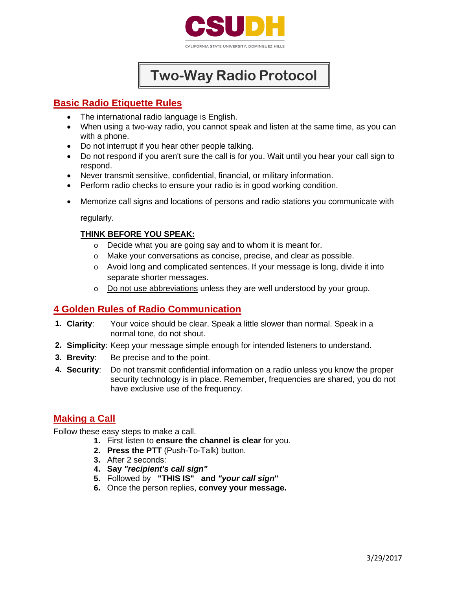

# **Two-Way Radio Protocol**

## **Basic Radio Etiquette Rules**

- The international radio language is English.
- When using a two-way radio, you cannot speak and listen at the same time, as you can with a phone.
- Do not interrupt if you hear other people talking.
- Do not respond if you aren't sure the call is for you. Wait until you hear your call sign to respond.
- Never transmit sensitive, confidential, financial, or military information.
- Perform radio checks to ensure your radio is in good working condition.
- Memorize call signs and locations of persons and radio stations you communicate with

regularly.

#### **THINK BEFORE YOU SPEAK:**

- o Decide what you are going say and to whom it is meant for.
- o Make your conversations as concise, precise, and clear as possible.
- o Avoid long and complicated sentences. If your message is long, divide it into separate shorter messages.
- o Do not use abbreviations unless they are well understood by your group.

## **4 Golden Rules of Radio Communication**

- **1. Clarity**: Your voice should be clear. Speak a little slower than normal. Speak in a normal tone, do not shout.
- **2. Simplicity**: Keep your message simple enough for intended listeners to understand.
- **3. Brevity**: Be precise and to the point.
- **4. Security**: Do not transmit confidential information on a radio unless you know the proper security technology is in place. Remember, frequencies are shared, you do not have exclusive use of the frequency.

## **Making a Call**

Follow these easy steps to make a call.

- **1.** First listen to **ensure the channel is clear** for you.
	- **2. Press the PTT** (Push-To-Talk) button.
	- **3.** After 2 seconds:
	- **4. Say** *"recipient's call sign"*
	- **5.** Followed by **"THIS IS" and** *"your call sign***"**
	- **6.** Once the person replies, **convey your message.**